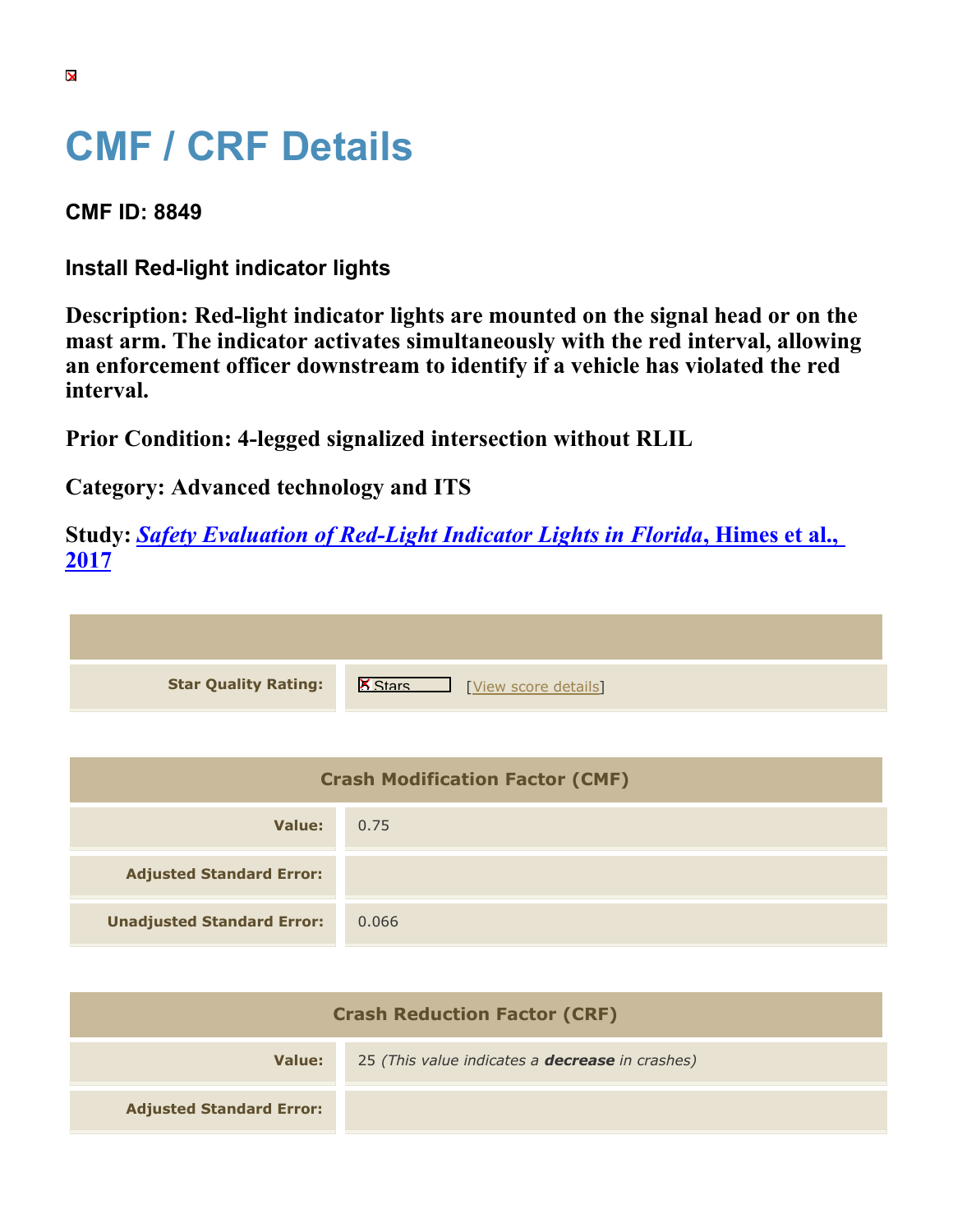## **CMF / CRF Details**

**CMF ID: 8849**

**Install Red-light indicator lights**

**Description: Red-light indicator lights are mounted on the signal head or on the mast arm. The indicator activates simultaneously with the red interval, allowing an enforcement officer downstream to identify if a vehicle has violated the red interval.**

**Prior Condition: 4-legged signalized intersection without RLIL**

**Category: Advanced technology and ITS**

**Study:** *[Safety Evaluation of Red-Light Indicator Lights in Florida](https://cmfclearinghouse.org/study_detail.cfm?stid=483)***[, Himes et al.,](https://cmfclearinghouse.org/study_detail.cfm?stid=483) [2017](https://cmfclearinghouse.org/study_detail.cfm?stid=483)**

| <b>Star Quality Rating:</b> | <b>X</b><br>[View score details] |
|-----------------------------|----------------------------------|

| <b>Crash Modification Factor (CMF)</b> |       |
|----------------------------------------|-------|
| Value:                                 | 0.75  |
| <b>Adjusted Standard Error:</b>        |       |
| <b>Unadjusted Standard Error:</b>      | 0.066 |

| <b>Crash Reduction Factor (CRF)</b> |                                                        |
|-------------------------------------|--------------------------------------------------------|
| Value:                              | 25 (This value indicates a <b>decrease</b> in crashes) |
| <b>Adjusted Standard Error:</b>     |                                                        |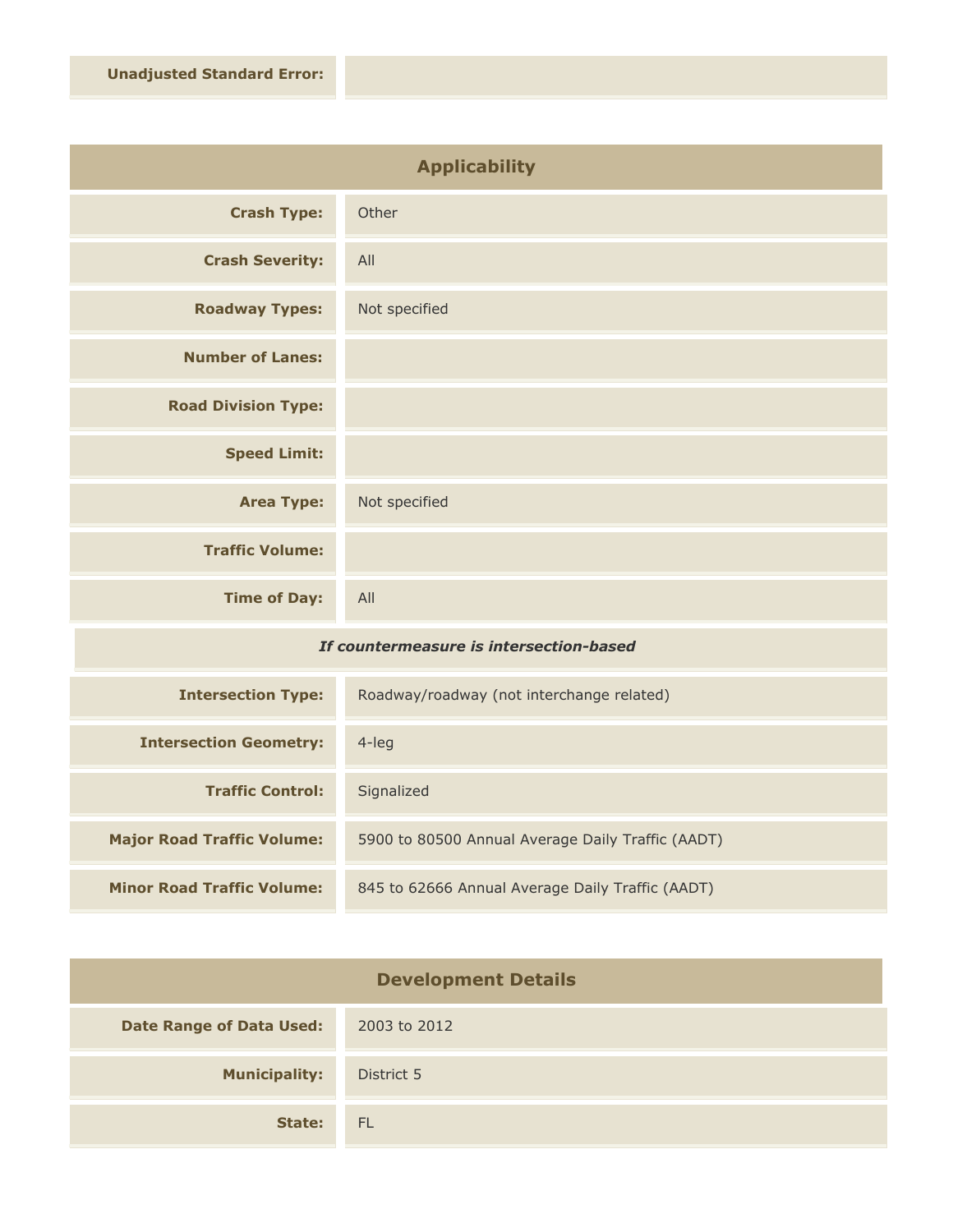| <b>Applicability</b>       |               |
|----------------------------|---------------|
| <b>Crash Type:</b>         | Other         |
| <b>Crash Severity:</b>     | All           |
| <b>Roadway Types:</b>      | Not specified |
| <b>Number of Lanes:</b>    |               |
| <b>Road Division Type:</b> |               |
| <b>Speed Limit:</b>        |               |
| <b>Area Type:</b>          | Not specified |
| <b>Traffic Volume:</b>     |               |
| <b>Time of Day:</b>        | All           |

## *If countermeasure is intersection-based*

| <b>Intersection Type:</b>         | Roadway/roadway (not interchange related)         |
|-----------------------------------|---------------------------------------------------|
| <b>Intersection Geometry:</b>     | 4-leg                                             |
| <b>Traffic Control:</b>           | Signalized                                        |
| <b>Major Road Traffic Volume:</b> | 5900 to 80500 Annual Average Daily Traffic (AADT) |
| <b>Minor Road Traffic Volume:</b> | 845 to 62666 Annual Average Daily Traffic (AADT)  |

| <b>Development Details</b>      |              |
|---------------------------------|--------------|
| <b>Date Range of Data Used:</b> | 2003 to 2012 |
| <b>Municipality:</b>            | District 5   |
| State:                          | FL.          |